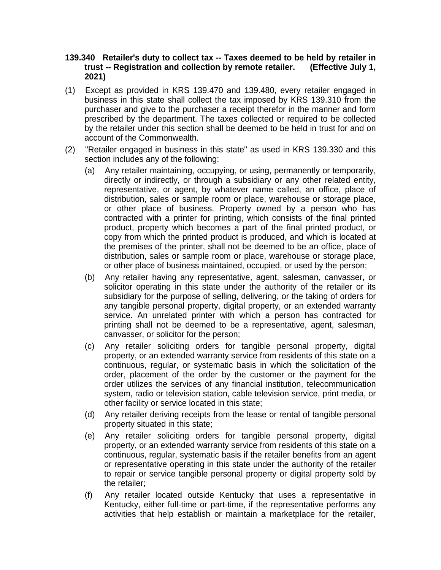## **139.340 Retailer's duty to collect tax -- Taxes deemed to be held by retailer in trust -- Registration and collection by remote retailer. (Effective July 1, 2021)**

- (1) Except as provided in KRS 139.470 and 139.480, every retailer engaged in business in this state shall collect the tax imposed by KRS 139.310 from the purchaser and give to the purchaser a receipt therefor in the manner and form prescribed by the department. The taxes collected or required to be collected by the retailer under this section shall be deemed to be held in trust for and on account of the Commonwealth.
- (2) "Retailer engaged in business in this state" as used in KRS 139.330 and this section includes any of the following:
	- (a) Any retailer maintaining, occupying, or using, permanently or temporarily, directly or indirectly, or through a subsidiary or any other related entity, representative, or agent, by whatever name called, an office, place of distribution, sales or sample room or place, warehouse or storage place, or other place of business. Property owned by a person who has contracted with a printer for printing, which consists of the final printed product, property which becomes a part of the final printed product, or copy from which the printed product is produced, and which is located at the premises of the printer, shall not be deemed to be an office, place of distribution, sales or sample room or place, warehouse or storage place, or other place of business maintained, occupied, or used by the person;
	- (b) Any retailer having any representative, agent, salesman, canvasser, or solicitor operating in this state under the authority of the retailer or its subsidiary for the purpose of selling, delivering, or the taking of orders for any tangible personal property, digital property, or an extended warranty service. An unrelated printer with which a person has contracted for printing shall not be deemed to be a representative, agent, salesman, canvasser, or solicitor for the person;
	- (c) Any retailer soliciting orders for tangible personal property, digital property, or an extended warranty service from residents of this state on a continuous, regular, or systematic basis in which the solicitation of the order, placement of the order by the customer or the payment for the order utilizes the services of any financial institution, telecommunication system, radio or television station, cable television service, print media, or other facility or service located in this state;
	- (d) Any retailer deriving receipts from the lease or rental of tangible personal property situated in this state;
	- (e) Any retailer soliciting orders for tangible personal property, digital property, or an extended warranty service from residents of this state on a continuous, regular, systematic basis if the retailer benefits from an agent or representative operating in this state under the authority of the retailer to repair or service tangible personal property or digital property sold by the retailer;
	- (f) Any retailer located outside Kentucky that uses a representative in Kentucky, either full-time or part-time, if the representative performs any activities that help establish or maintain a marketplace for the retailer,